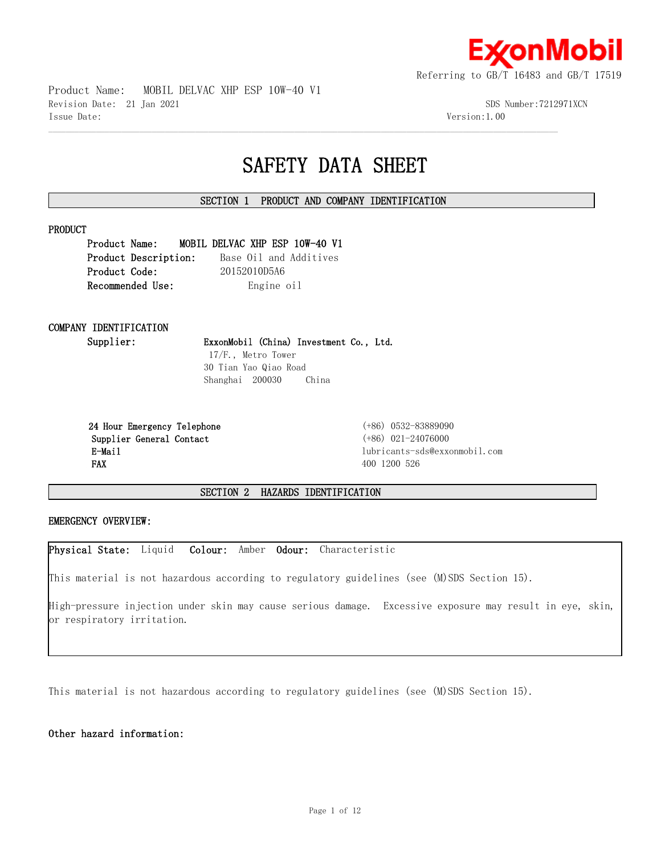

Product Name: MOBIL DELVAC XHP ESP 10W-40 V1 Revision Date: 21 Jan 2021 SDS Number:7212971XCN Issue Date: Version:1.00

# **SAFETY DATA SHEET**

# **SECTION 1 PRODUCT AND COMPANY IDENTIFICATION**

 $\mathcal{L} = \{ \mathcal{L} = \{ \mathcal{L} = \{ \mathcal{L} = \{ \mathcal{L} = \{ \mathcal{L} = \{ \mathcal{L} = \{ \mathcal{L} = \{ \mathcal{L} = \{ \mathcal{L} = \{ \mathcal{L} = \{ \mathcal{L} = \{ \mathcal{L} = \{ \mathcal{L} = \{ \mathcal{L} = \{ \mathcal{L} = \{ \mathcal{L} = \{ \mathcal{L} = \{ \mathcal{L} = \{ \mathcal{L} = \{ \mathcal{L} = \{ \mathcal{L} = \{ \mathcal{L} = \{ \mathcal{L} = \{ \mathcal{$ 

#### **PRODUCT**

**Product Name: MOBIL DELVAC XHP ESP 10W-40 V1 Product Description:** Base Oil and Additives **Product Code:** 20152010D5A6 **Recommended Use:** Engine oil

# **COMPANY IDENTIFICATION**

**Supplier: ExxonMobil (China) Investment Co., Ltd.**

 17/F., Metro Tower 30 Tian Yao Qiao Road Shanghai 200030 China

 **24 Hour Emergency Telephone** (+86) 0532-83889090 **Supplier General Contact** (+86) 021-24076000 **FAX** 400 1200 526

 **E-Mail** lubricants-sds@exxonmobil.com

**SECTION 2 HAZARDS IDENTIFICATION**

#### **EMERGENCY OVERVIEW:**

**Physical State:** Liquid **Colour:** Amber **Odour:** Characteristic

This material is not hazardous according to regulatory guidelines (see (M)SDS Section 15).

High-pressure injection under skin may cause serious damage. Excessive exposure may result in eye, skin, or respiratory irritation.

This material is not hazardous according to regulatory guidelines (see (M)SDS Section 15).

# **Other hazard information:**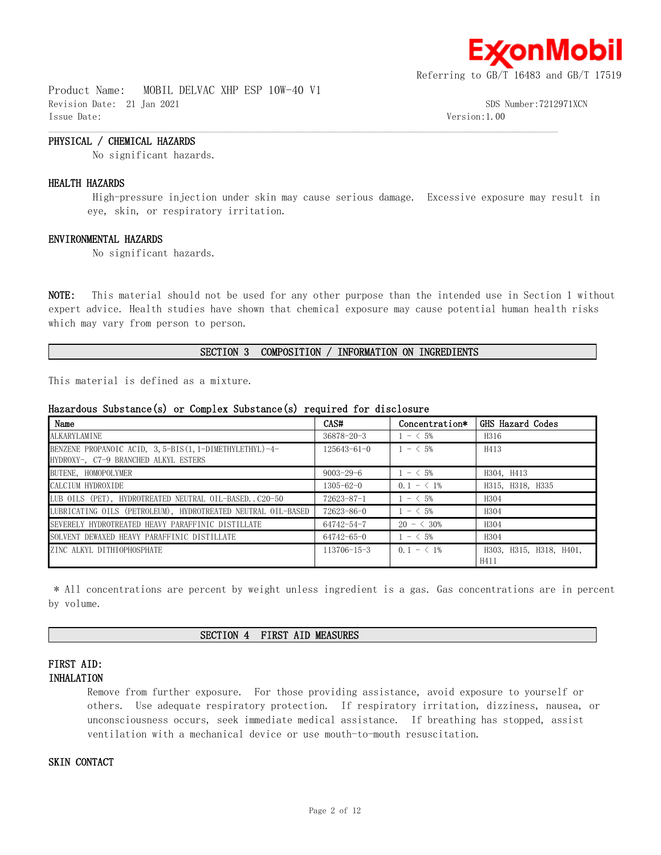

Product Name: MOBIL DELVAC XHP ESP 10W-40 V1 Revision Date: 21 Jan 2021 SDS Number:7212971XCN Issue Date: Version:1.00

# **PHYSICAL / CHEMICAL HAZARDS**

No significant hazards.

#### **HEALTH HAZARDS**

 High-pressure injection under skin may cause serious damage. Excessive exposure may result in eye, skin, or respiratory irritation.

 $\mathcal{L} = \{ \mathcal{L} = \{ \mathcal{L} = \{ \mathcal{L} = \{ \mathcal{L} = \{ \mathcal{L} = \{ \mathcal{L} = \{ \mathcal{L} = \{ \mathcal{L} = \{ \mathcal{L} = \{ \mathcal{L} = \{ \mathcal{L} = \{ \mathcal{L} = \{ \mathcal{L} = \{ \mathcal{L} = \{ \mathcal{L} = \{ \mathcal{L} = \{ \mathcal{L} = \{ \mathcal{L} = \{ \mathcal{L} = \{ \mathcal{L} = \{ \mathcal{L} = \{ \mathcal{L} = \{ \mathcal{L} = \{ \mathcal{$ 

#### **ENVIRONMENTAL HAZARDS**

No significant hazards.

**NOTE:** This material should not be used for any other purpose than the intended use in Section 1 without expert advice. Health studies have shown that chemical exposure may cause potential human health risks which may vary from person to person.

#### **SECTION 3 COMPOSITION / INFORMATION ON INGREDIENTS**

This material is defined as a mixture.

### **Hazardous Substance(s) or Complex Substance(s) required for disclosure**

| Name                                                                                             | CAS#              | Concentration*      | GHS Hazard Codes                |
|--------------------------------------------------------------------------------------------------|-------------------|---------------------|---------------------------------|
| ALKARYLAMINE                                                                                     | $36878 - 20 - 3$  | $1 - 5\%$           | H316                            |
| BENZENE PROPANOIC ACID, 3, 5-BIS (1, 1-DIMETHYLETHYL)-4-<br>HYDROXY-, C7-9 BRANCHED ALKYL ESTERS | $125643 - 61 - 0$ | $1 - 5\%$           | H413                            |
| BUTENE, HOMOPOLYMER                                                                              | $9003 - 29 - 6$   | $1 - 5\%$           | H304, H413                      |
| CALCIUM HYDROXIDE                                                                                | $1305 - 62 - 0$   | $0.1 - \langle 1\%$ | H315, H318, H335                |
| LUB OILS (PET), HYDROTREATED NEUTRAL OIL-BASEDC20-50                                             | $72623 - 87 - 1$  | $1 - 5\%$           | H <sub>304</sub>                |
| LUBRICATING OILS (PETROLEUM), HYDROTREATED NEUTRAL OIL-BASED                                     | $72623 - 86 - 0$  | $1 - \leq 5\%$      | H <sub>304</sub>                |
| SEVERELY HYDROTREATED HEAVY PARAFFINIC DISTILLATE                                                | 64742-54-7        | $20 - \leq 30\%$    | H <sub>304</sub>                |
| SOLVENT DEWAXED HEAVY PARAFFINIC DISTILLATE                                                      | $64742 - 65 - 0$  | $1 - 5\%$           | H <sub>304</sub>                |
| ZINC ALKYL DITHIOPHOSPHATE                                                                       | $113706 - 15 - 3$ | $0.1 - \langle 1\%$ | H303, H315, H318, H401,<br>H411 |

 \* All concentrations are percent by weight unless ingredient is a gas. Gas concentrations are in percent by volume.

#### **SECTION 4 FIRST AID MEASURES**

# **FIRST AID: INHALATION**

Remove from further exposure. For those providing assistance, avoid exposure to yourself or others. Use adequate respiratory protection. If respiratory irritation, dizziness, nausea, or unconsciousness occurs, seek immediate medical assistance. If breathing has stopped, assist ventilation with a mechanical device or use mouth-to-mouth resuscitation.

# **SKIN CONTACT**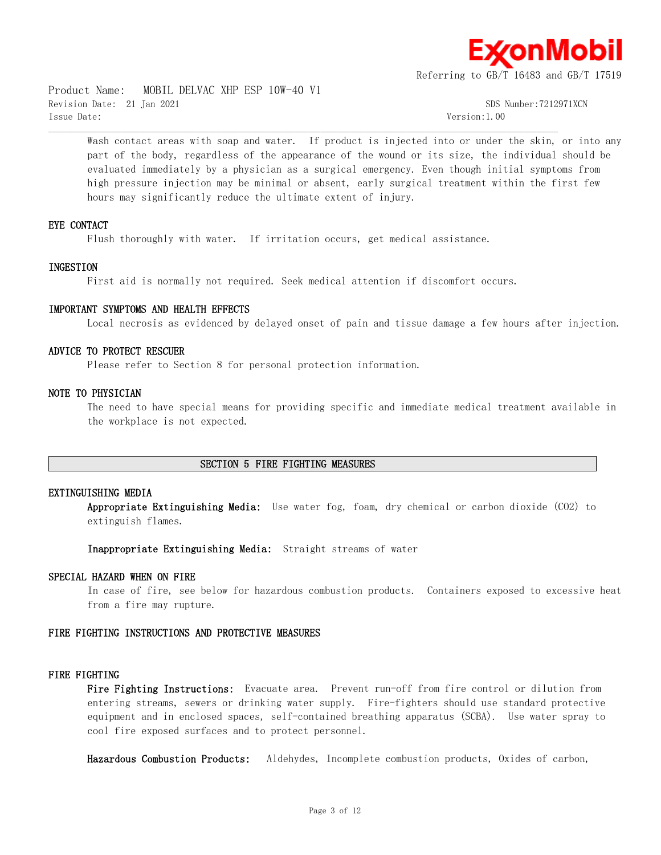

Product Name: MOBIL DELVAC XHP ESP 10W-40 V1 Revision Date: 21 Jan 2021 SDS Number:7212971XCN Issue Date: Version:1.00

Wash contact areas with soap and water. If product is injected into or under the skin, or into any part of the body, regardless of the appearance of the wound or its size, the individual should be evaluated immediately by a physician as a surgical emergency. Even though initial symptoms from high pressure injection may be minimal or absent, early surgical treatment within the first few hours may significantly reduce the ultimate extent of injury.

#### **EYE CONTACT**

Flush thoroughly with water. If irritation occurs, get medical assistance.

#### **INGESTION**

First aid is normally not required. Seek medical attention if discomfort occurs.

 $\mathcal{L} = \{ \mathcal{L} = \{ \mathcal{L} = \{ \mathcal{L} = \{ \mathcal{L} = \{ \mathcal{L} = \{ \mathcal{L} = \{ \mathcal{L} = \{ \mathcal{L} = \{ \mathcal{L} = \{ \mathcal{L} = \{ \mathcal{L} = \{ \mathcal{L} = \{ \mathcal{L} = \{ \mathcal{L} = \{ \mathcal{L} = \{ \mathcal{L} = \{ \mathcal{L} = \{ \mathcal{L} = \{ \mathcal{L} = \{ \mathcal{L} = \{ \mathcal{L} = \{ \mathcal{L} = \{ \mathcal{L} = \{ \mathcal{$ 

#### **IMPORTANT SYMPTOMS AND HEALTH EFFECTS**

Local necrosis as evidenced by delayed onset of pain and tissue damage a few hours after injection.

#### **ADVICE TO PROTECT RESCUER**

Please refer to Section 8 for personal protection information.

#### **NOTE TO PHYSICIAN**

The need to have special means for providing specific and immediate medical treatment available in the workplace is not expected.

#### **SECTION 5 FIRE FIGHTING MEASURES**

#### **EXTINGUISHING MEDIA**

**Appropriate Extinguishing Media:** Use water fog, foam, dry chemical or carbon dioxide (CO2) to extinguish flames.

**Inappropriate Extinguishing Media:** Straight streams of water

#### **SPECIAL HAZARD WHEN ON FIRE**

In case of fire, see below for hazardous combustion products. Containers exposed to excessive heat from a fire may rupture.

#### **FIRE FIGHTING INSTRUCTIONS AND PROTECTIVE MEASURES**

#### **FIRE FIGHTING**

**Fire Fighting Instructions:** Evacuate area. Prevent run-off from fire control or dilution from entering streams, sewers or drinking water supply. Fire-fighters should use standard protective equipment and in enclosed spaces, self-contained breathing apparatus (SCBA). Use water spray to cool fire exposed surfaces and to protect personnel.

**Hazardous Combustion Products:** Aldehydes, Incomplete combustion products, Oxides of carbon,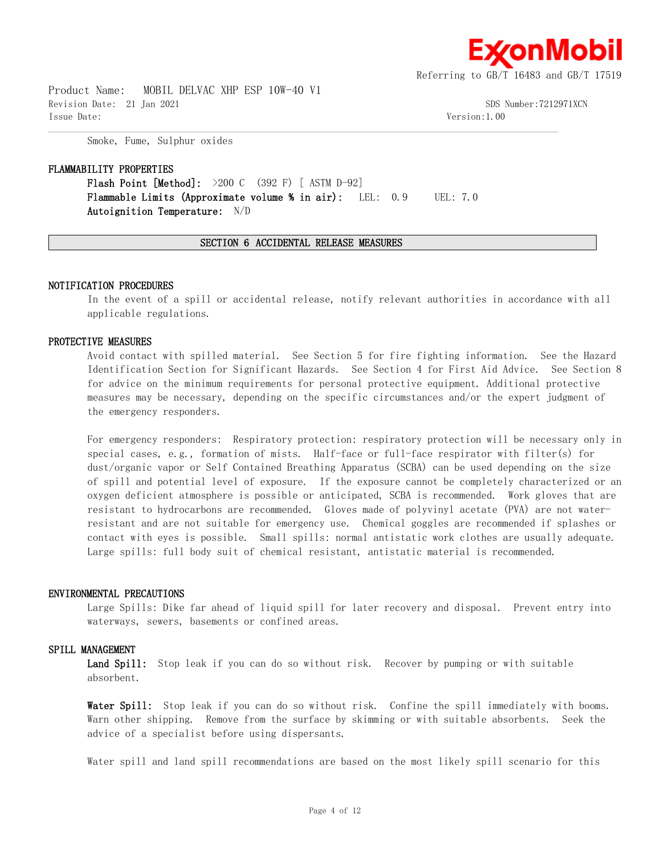

Product Name: MOBIL DELVAC XHP ESP 10W-40 V1 Revision Date: 21 Jan 2021 SDS Number:7212971XCN Issue Date: Version:1.00

Smoke, Fume, Sulphur oxides

#### **FLAMMABILITY PROPERTIES**

**Flash Point [Method]:** >200 C (392 F) [ ASTM D-92] **Flammable Limits (Approximate volume % in air):** LEL: 0.9 UEL: 7.0 **Autoignition Temperature:** N/D

#### **SECTION 6 ACCIDENTAL RELEASE MEASURES**

 $\mathcal{L} = \{ \mathcal{L} = \{ \mathcal{L} = \{ \mathcal{L} = \{ \mathcal{L} = \{ \mathcal{L} = \{ \mathcal{L} = \{ \mathcal{L} = \{ \mathcal{L} = \{ \mathcal{L} = \{ \mathcal{L} = \{ \mathcal{L} = \{ \mathcal{L} = \{ \mathcal{L} = \{ \mathcal{L} = \{ \mathcal{L} = \{ \mathcal{L} = \{ \mathcal{L} = \{ \mathcal{L} = \{ \mathcal{L} = \{ \mathcal{L} = \{ \mathcal{L} = \{ \mathcal{L} = \{ \mathcal{L} = \{ \mathcal{$ 

#### **NOTIFICATION PROCEDURES**

In the event of a spill or accidental release, notify relevant authorities in accordance with all applicable regulations.

#### **PROTECTIVE MEASURES**

Avoid contact with spilled material. See Section 5 for fire fighting information. See the Hazard Identification Section for Significant Hazards. See Section 4 for First Aid Advice. See Section 8 for advice on the minimum requirements for personal protective equipment. Additional protective measures may be necessary, depending on the specific circumstances and/or the expert judgment of the emergency responders.

For emergency responders: Respiratory protection: respiratory protection will be necessary only in special cases, e.g., formation of mists. Half-face or full-face respirator with filter(s) for dust/organic vapor or Self Contained Breathing Apparatus (SCBA) can be used depending on the size of spill and potential level of exposure. If the exposure cannot be completely characterized or an oxygen deficient atmosphere is possible or anticipated, SCBA is recommended. Work gloves that are resistant to hydrocarbons are recommended. Gloves made of polyvinyl acetate (PVA) are not waterresistant and are not suitable for emergency use. Chemical goggles are recommended if splashes or contact with eyes is possible. Small spills: normal antistatic work clothes are usually adequate. Large spills: full body suit of chemical resistant, antistatic material is recommended.

#### **ENVIRONMENTAL PRECAUTIONS**

Large Spills: Dike far ahead of liquid spill for later recovery and disposal. Prevent entry into waterways, sewers, basements or confined areas.

#### **SPILL MANAGEMENT**

Land Spill: Stop leak if you can do so without risk. Recover by pumping or with suitable absorbent.

**Water Spill:** Stop leak if you can do so without risk. Confine the spill immediately with booms. Warn other shipping. Remove from the surface by skimming or with suitable absorbents. Seek the advice of a specialist before using dispersants.

Water spill and land spill recommendations are based on the most likely spill scenario for this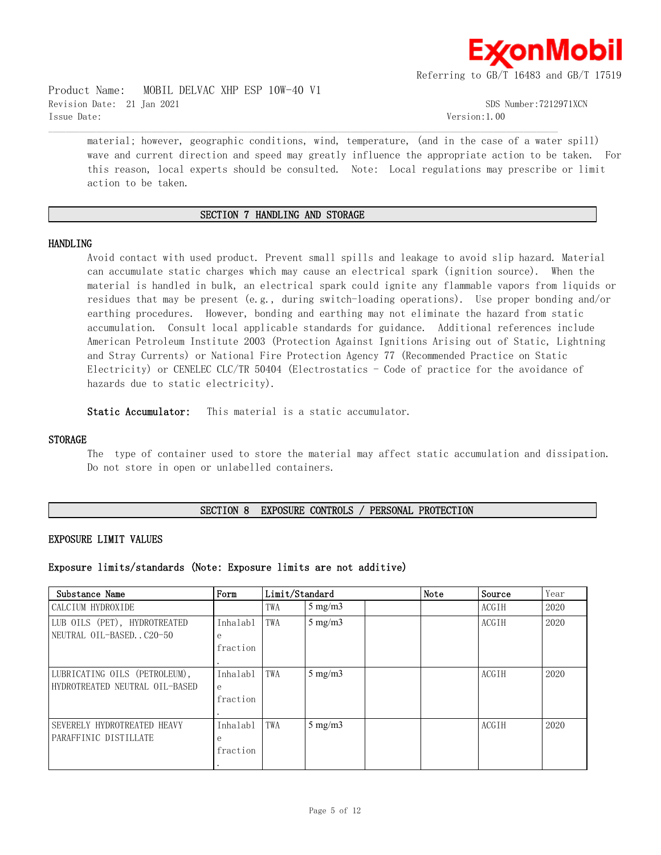

Product Name: MOBIL DELVAC XHP ESP 10W-40 V1 Revision Date: 21 Jan 2021 SDS Number:7212971XCN Issue Date: Version:1.00

material; however, geographic conditions, wind, temperature, (and in the case of a water spill) wave and current direction and speed may greatly influence the appropriate action to be taken. For this reason, local experts should be consulted. Note: Local regulations may prescribe or limit action to be taken.

# **SECTION 7 HANDLING AND STORAGE**

 $\mathcal{L} = \{ \mathcal{L} = \{ \mathcal{L} = \{ \mathcal{L} = \{ \mathcal{L} = \{ \mathcal{L} = \{ \mathcal{L} = \{ \mathcal{L} = \{ \mathcal{L} = \{ \mathcal{L} = \{ \mathcal{L} = \{ \mathcal{L} = \{ \mathcal{L} = \{ \mathcal{L} = \{ \mathcal{L} = \{ \mathcal{L} = \{ \mathcal{L} = \{ \mathcal{L} = \{ \mathcal{L} = \{ \mathcal{L} = \{ \mathcal{L} = \{ \mathcal{L} = \{ \mathcal{L} = \{ \mathcal{L} = \{ \mathcal{$ 

#### **HANDLING**

Avoid contact with used product. Prevent small spills and leakage to avoid slip hazard. Material can accumulate static charges which may cause an electrical spark (ignition source). When the material is handled in bulk, an electrical spark could ignite any flammable vapors from liquids or residues that may be present (e.g., during switch-loading operations). Use proper bonding and/or earthing procedures. However, bonding and earthing may not eliminate the hazard from static accumulation. Consult local applicable standards for guidance. Additional references include American Petroleum Institute 2003 (Protection Against Ignitions Arising out of Static, Lightning and Stray Currents) or National Fire Protection Agency 77 (Recommended Practice on Static Electricity) or CENELEC CLC/TR 50404 (Electrostatics - Code of practice for the avoidance of hazards due to static electricity).

**Static Accumulator:** This material is a static accumulator.

#### **STORAGE**

The type of container used to store the material may affect static accumulation and dissipation. Do not store in open or unlabelled containers.

# **SECTION 8 EXPOSURE CONTROLS / PERSONAL PROTECTION**

#### **EXPOSURE LIMIT VALUES**

#### **Exposure limits/standards (Note: Exposure limits are not additive)**

| Substance Name                                                  | Form                      | Limit/Standard |                  | Note | Source | Year         |      |
|-----------------------------------------------------------------|---------------------------|----------------|------------------|------|--------|--------------|------|
| CALCIUM HYDROXIDE                                               |                           | TWA            | $5 \text{ mg/m}$ |      |        | <b>ACGTH</b> | 2020 |
| LUB OILS (PET), HYDROTREATED<br>NEUTRAL OIL-BASED. . C20-50     | Inhalab1<br>e<br>fraction | TWA            | $5 \text{ mg/m}$ |      |        | <b>ACGTH</b> | 2020 |
| LUBRICATING OILS (PETROLEUM),<br>HYDROTREATED NEUTRAL OTL-BASED | Inhalab1<br>e<br>fraction | TWA            | $5 \text{ mg/m}$ |      |        | <b>ACGTH</b> | 2020 |
| SEVERELY HYDROTREATED HEAVY<br>PARAFFINIC DISTILLATE            | Inhalabl<br>e<br>fraction | TWA            | $5$ mg/m $3$     |      |        | <b>ACGTH</b> | 2020 |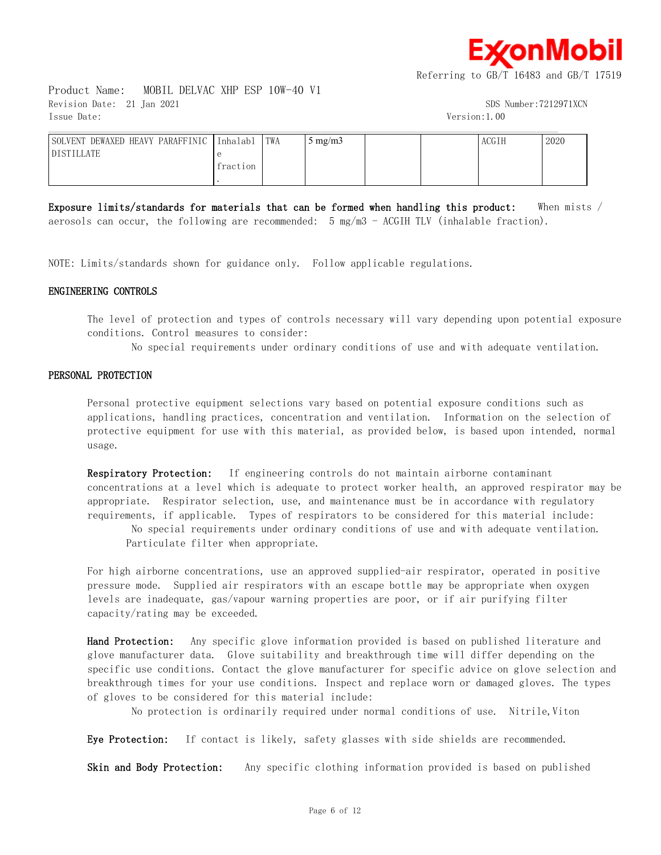≰onMobil

Referring to GB/T 16483 and GB/T 17519

Product Name: MOBIL DELVAC XHP ESP 10W-40 V1 Revision Date: 21 Jan 2021 SDS Number:7212971XCN Issue Date: Version:1.00

| DEWAXED HEAVY PARAFFINIC<br>SOLVENT | Inhalabl | TWA | mg/m3 |  | ACGIH | 2020 |
|-------------------------------------|----------|-----|-------|--|-------|------|
| <b>DISTILLATE</b>                   |          |     |       |  |       |      |
|                                     | fraction |     |       |  |       |      |
|                                     |          |     |       |  |       |      |

 $\mathcal{L} = \{ \mathcal{L} = \{ \mathcal{L} = \{ \mathcal{L} = \{ \mathcal{L} = \{ \mathcal{L} = \{ \mathcal{L} = \{ \mathcal{L} = \{ \mathcal{L} = \{ \mathcal{L} = \{ \mathcal{L} = \{ \mathcal{L} = \{ \mathcal{L} = \{ \mathcal{L} = \{ \mathcal{L} = \{ \mathcal{L} = \{ \mathcal{L} = \{ \mathcal{L} = \{ \mathcal{L} = \{ \mathcal{L} = \{ \mathcal{L} = \{ \mathcal{L} = \{ \mathcal{L} = \{ \mathcal{L} = \{ \mathcal{$ 

**Exposure limits/standards for materials that can be formed when handling this product:** When mists / aerosols can occur, the following are recommended: 5 mg/m3 - ACGIH TLV (inhalable fraction).

NOTE: Limits/standards shown for guidance only. Follow applicable regulations.

#### **ENGINEERING CONTROLS**

The level of protection and types of controls necessary will vary depending upon potential exposure conditions. Control measures to consider:

No special requirements under ordinary conditions of use and with adequate ventilation.

#### **PERSONAL PROTECTION**

Personal protective equipment selections vary based on potential exposure conditions such as applications, handling practices, concentration and ventilation. Information on the selection of protective equipment for use with this material, as provided below, is based upon intended, normal usage.

**Respiratory Protection:** If engineering controls do not maintain airborne contaminant concentrations at a level which is adequate to protect worker health, an approved respirator may be appropriate. Respirator selection, use, and maintenance must be in accordance with regulatory requirements, if applicable. Types of respirators to be considered for this material include:

 No special requirements under ordinary conditions of use and with adequate ventilation. Particulate filter when appropriate.

For high airborne concentrations, use an approved supplied-air respirator, operated in positive pressure mode. Supplied air respirators with an escape bottle may be appropriate when oxygen levels are inadequate, gas/vapour warning properties are poor, or if air purifying filter capacity/rating may be exceeded.

**Hand Protection:** Any specific glove information provided is based on published literature and glove manufacturer data. Glove suitability and breakthrough time will differ depending on the specific use conditions. Contact the glove manufacturer for specific advice on glove selection and breakthrough times for your use conditions. Inspect and replace worn or damaged gloves. The types of gloves to be considered for this material include:

No protection is ordinarily required under normal conditions of use. Nitrile, Viton

**Eye Protection:** If contact is likely, safety glasses with side shields are recommended.

**Skin and Body Protection:** Any specific clothing information provided is based on published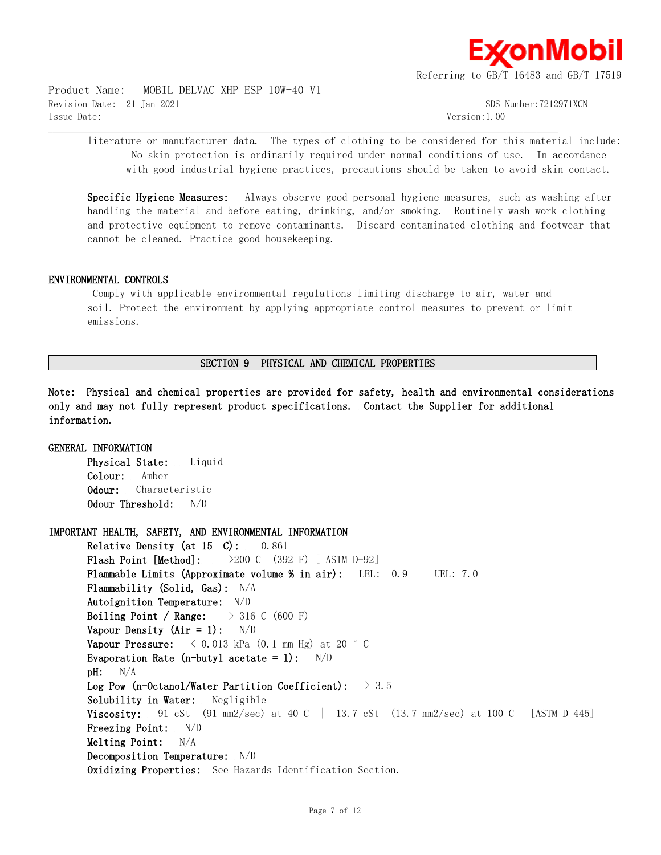

Product Name: MOBIL DELVAC XHP ESP 10W-40 V1 Revision Date: 21 Jan 2021 SDS Number:7212971XCN Issue Date: Version:1.00

literature or manufacturer data. The types of clothing to be considered for this material include: No skin protection is ordinarily required under normal conditions of use. In accordance with good industrial hygiene practices, precautions should be taken to avoid skin contact.

 $\mathcal{L} = \{ \mathcal{L} = \{ \mathcal{L} = \{ \mathcal{L} = \{ \mathcal{L} = \{ \mathcal{L} = \{ \mathcal{L} = \{ \mathcal{L} = \{ \mathcal{L} = \{ \mathcal{L} = \{ \mathcal{L} = \{ \mathcal{L} = \{ \mathcal{L} = \{ \mathcal{L} = \{ \mathcal{L} = \{ \mathcal{L} = \{ \mathcal{L} = \{ \mathcal{L} = \{ \mathcal{L} = \{ \mathcal{L} = \{ \mathcal{L} = \{ \mathcal{L} = \{ \mathcal{L} = \{ \mathcal{L} = \{ \mathcal{$ 

**Specific Hygiene Measures:** Always observe good personal hygiene measures, such as washing after handling the material and before eating, drinking, and/or smoking. Routinely wash work clothing and protective equipment to remove contaminants. Discard contaminated clothing and footwear that cannot be cleaned. Practice good housekeeping.

### **ENVIRONMENTAL CONTROLS**

 Comply with applicable environmental regulations limiting discharge to air, water and soil. Protect the environment by applying appropriate control measures to prevent or limit emissions.

## **SECTION 9 PHYSICAL AND CHEMICAL PROPERTIES**

**Note: Physical and chemical properties are provided for safety, health and environmental considerations only and may not fully represent product specifications. Contact the Supplier for additional information.**

**GENERAL INFORMATION Physical State:** Liquid **Colour:** Amber **Odour:** Characteristic **Odour Threshold:** N/D **IMPORTANT HEALTH, SAFETY, AND ENVIRONMENTAL INFORMATION Relative Density (at 15 C):** 0.861 **Flash Point [Method]:** >200 C (392 F) [ ASTM D-92] **Flammable Limits (Approximate volume % in air):** LEL: 0.9 UEL: 7.0 **Flammability (Solid, Gas):** N/A **Autoignition Temperature:** N/D **Boiling Point / Range:** > 316 C (600 F) **Vapour Density (Air = 1):** N/D **Vapour Pressure:** < 0.013 kPa (0.1 mm Hg) at 20 °C **Evaporation Rate (n-butyl acetate = 1):** N/D **pH:** N/A **Log Pow (n-Octanol/Water Partition Coefficient):** > 3.5 **Solubility in Water:** Negligible **Viscosity:** 91 cSt (91 mm2/sec) at 40 C | 13.7 cSt (13.7 mm2/sec) at 100 C [ASTM D 445] **Freezing Point:** N/D **Melting Point:** N/A **Decomposition Temperature:** N/D **Oxidizing Properties:** See Hazards Identification Section.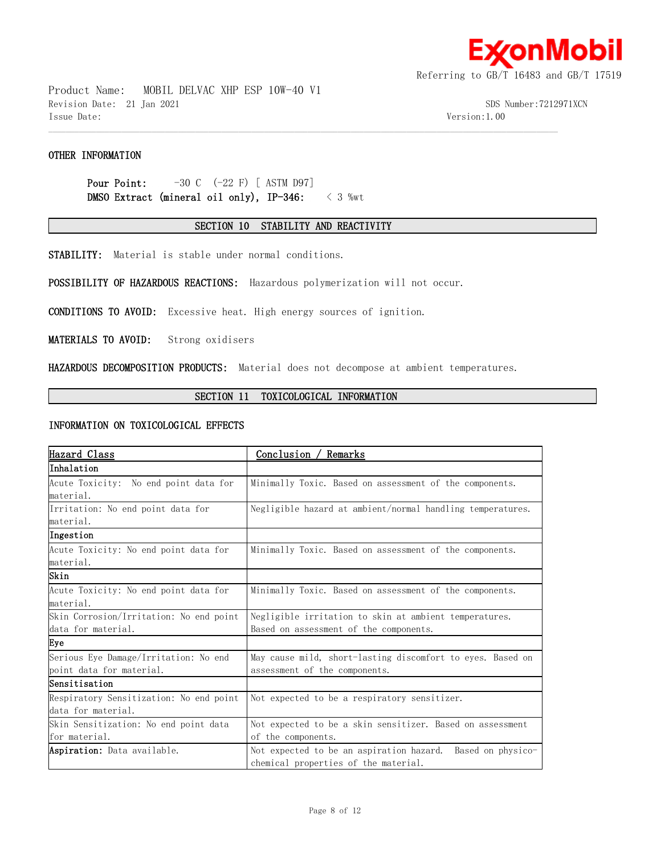

Product Name: MOBIL DELVAC XHP ESP 10W-40 V1 Revision Date: 21 Jan 2021 SDS Number:7212971XCN Issue Date: Version:1.00

# **OTHER INFORMATION**

**Pour Point:**  $-30 \text{ C}$   $(-22 \text{ F})$  [ ASTM D97] **DMSO Extract (mineral oil only), IP-346:** < 3 %wt

### **SECTION 10 STABILITY AND REACTIVITY**

 $\mathcal{L} = \{ \mathcal{L} = \{ \mathcal{L} = \{ \mathcal{L} = \{ \mathcal{L} = \{ \mathcal{L} = \{ \mathcal{L} = \{ \mathcal{L} = \{ \mathcal{L} = \{ \mathcal{L} = \{ \mathcal{L} = \{ \mathcal{L} = \{ \mathcal{L} = \{ \mathcal{L} = \{ \mathcal{L} = \{ \mathcal{L} = \{ \mathcal{L} = \{ \mathcal{L} = \{ \mathcal{L} = \{ \mathcal{L} = \{ \mathcal{L} = \{ \mathcal{L} = \{ \mathcal{L} = \{ \mathcal{L} = \{ \mathcal{$ 

**STABILITY:** Material is stable under normal conditions.

**POSSIBILITY OF HAZARDOUS REACTIONS:** Hazardous polymerization will not occur.

**CONDITIONS TO AVOID:** Excessive heat. High energy sources of ignition.

**MATERIALS TO AVOID:** Strong oxidisers

**HAZARDOUS DECOMPOSITION PRODUCTS:** Material does not decompose at ambient temperatures.

### **SECTION 11 TOXICOLOGICAL INFORMATION**

#### **INFORMATION ON TOXICOLOGICAL EFFECTS**

| Hazard Class                            | Conclusion /<br>' Remarks                                     |  |  |  |
|-----------------------------------------|---------------------------------------------------------------|--|--|--|
| Inhalation                              |                                                               |  |  |  |
| Acute Toxicity: No end point data for   | Minimally Toxic. Based on assessment of the components.       |  |  |  |
| material.                               |                                                               |  |  |  |
| Irritation: No end point data for       | Negligible hazard at ambient/normal handling temperatures.    |  |  |  |
| material.                               |                                                               |  |  |  |
| Ingestion                               |                                                               |  |  |  |
| Acute Toxicity: No end point data for   | Minimally Toxic. Based on assessment of the components.       |  |  |  |
| material.                               |                                                               |  |  |  |
| Skin                                    |                                                               |  |  |  |
| Acute Toxicity: No end point data for   | Minimally Toxic. Based on assessment of the components.       |  |  |  |
| material.                               |                                                               |  |  |  |
| Skin Corrosion/Irritation: No end point | Negligible irritation to skin at ambient temperatures.        |  |  |  |
| data for material.                      | Based on assessment of the components.                        |  |  |  |
| Eye                                     |                                                               |  |  |  |
| Serious Eye Damage/Irritation: No end   | May cause mild, short-lasting discomfort to eyes. Based on    |  |  |  |
| point data for material.                | assessment of the components.                                 |  |  |  |
| lSensitisation                          |                                                               |  |  |  |
| Respiratory Sensitization: No end point | Not expected to be a respiratory sensitizer.                  |  |  |  |
| data for material.                      |                                                               |  |  |  |
| Skin Sensitization: No end point data   | Not expected to be a skin sensitizer. Based on assessment     |  |  |  |
| for material.                           | of the components.                                            |  |  |  |
| Aspiration: Data available.             | Not expected to be an aspiration hazard.<br>Based on physico- |  |  |  |
|                                         | chemical properties of the material.                          |  |  |  |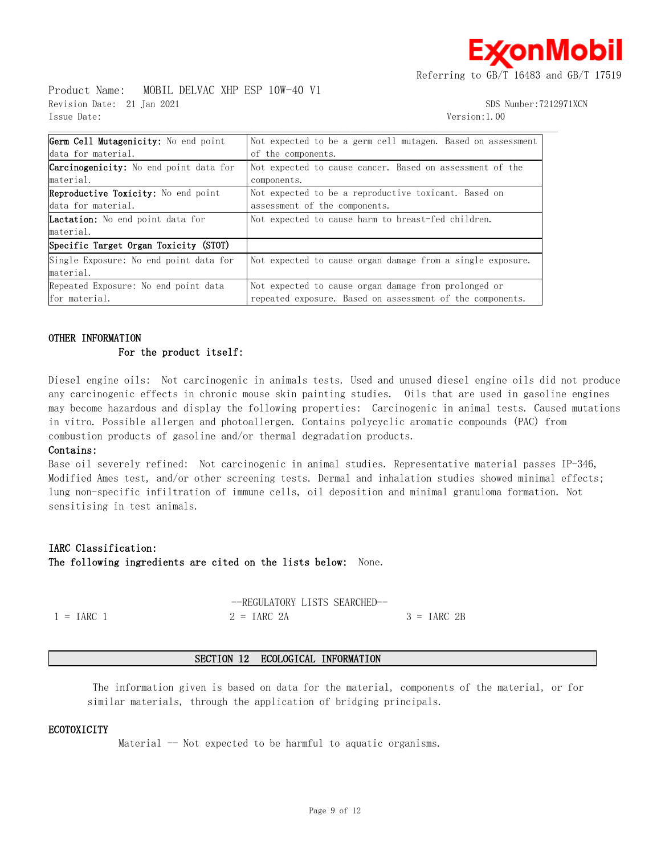≰onMobil

Referring to GB/T 16483 and GB/T 17519

Product Name: MOBIL DELVAC XHP ESP 10W-40 V1 Revision Date: 21 Jan 2021 SDS Number:7212971XCN Issue Date: Version:1.00

| Germ Cell Mutagenicity: No end point          | Not expected to be a germ cell mutagen. Based on assessment |
|-----------------------------------------------|-------------------------------------------------------------|
| data for material.                            | of the components.                                          |
| <b>Carcinogenicity:</b> No end point data for | Not expected to cause cancer. Based on assessment of the    |
| material.                                     | components.                                                 |
| Reproductive Toxicity: No end point           | Not expected to be a reproductive toxicant. Based on        |
| data for material.                            | assessment of the components.                               |
| <b>Lactation:</b> No end point data for       | Not expected to cause harm to breast-fed children.          |
| material.                                     |                                                             |
| Specific Target Organ Toxicity (STOT)         |                                                             |
| Single Exposure: No end point data for        | Not expected to cause organ damage from a single exposure.  |
| material.                                     |                                                             |
| Repeated Exposure: No end point data          | Not expected to cause organ damage from prolonged or        |
| for material.                                 | repeated exposure. Based on assessment of the components.   |

 $\mathcal{L} = \{ \mathcal{L} = \{ \mathcal{L} = \{ \mathcal{L} = \{ \mathcal{L} = \{ \mathcal{L} = \{ \mathcal{L} = \{ \mathcal{L} = \{ \mathcal{L} = \{ \mathcal{L} = \{ \mathcal{L} = \{ \mathcal{L} = \{ \mathcal{L} = \{ \mathcal{L} = \{ \mathcal{L} = \{ \mathcal{L} = \{ \mathcal{L} = \{ \mathcal{L} = \{ \mathcal{L} = \{ \mathcal{L} = \{ \mathcal{L} = \{ \mathcal{L} = \{ \mathcal{L} = \{ \mathcal{L} = \{ \mathcal{$ 

### **OTHER INFORMATION**

#### **For the product itself:**

Diesel engine oils: Not carcinogenic in animals tests. Used and unused diesel engine oils did not produce any carcinogenic effects in chronic mouse skin painting studies. Oils that are used in gasoline engines may become hazardous and display the following properties: Carcinogenic in animal tests. Caused mutations in vitro. Possible allergen and photoallergen. Contains polycyclic aromatic compounds (PAC) from combustion products of gasoline and/or thermal degradation products.

#### **Contains:**

Base oil severely refined: Not carcinogenic in animal studies. Representative material passes IP-346, Modified Ames test, and/or other screening tests. Dermal and inhalation studies showed minimal effects; lung non-specific infiltration of immune cells, oil deposition and minimal granuloma formation. Not sensitising in test animals.

#### **IARC Classification:**

**The following ingredients are cited on the lists below:** None.

|                     | --REGULATORY LISTS SEARCHED- |              |
|---------------------|------------------------------|--------------|
| $1 = \text{IARC}$ 1 | $2 = \text{IARC} 2A$         | $3 = IARC2B$ |

#### **SECTION 12 ECOLOGICAL INFORMATION**

 The information given is based on data for the material, components of the material, or for similar materials, through the application of bridging principals.

#### **ECOTOXICITY**

Material -- Not expected to be harmful to aquatic organisms.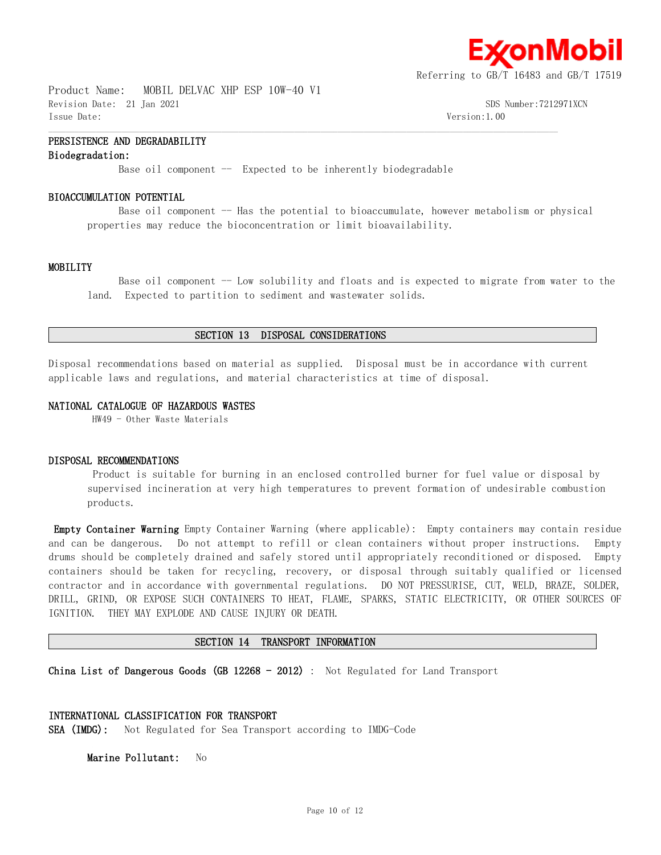

Product Name: MOBIL DELVAC XHP ESP 10W-40 V1 Revision Date: 21 Jan 2021 SDS Number:7212971XCN Issue Date: Version:1.00

# **PERSISTENCE AND DEGRADABILITY**

#### **Biodegradation:**

Base oil component  $-$  Expected to be inherently biodegradable

 $\mathcal{L} = \{ \mathcal{L} = \{ \mathcal{L} = \{ \mathcal{L} = \{ \mathcal{L} = \{ \mathcal{L} = \{ \mathcal{L} = \{ \mathcal{L} = \{ \mathcal{L} = \{ \mathcal{L} = \{ \mathcal{L} = \{ \mathcal{L} = \{ \mathcal{L} = \{ \mathcal{L} = \{ \mathcal{L} = \{ \mathcal{L} = \{ \mathcal{L} = \{ \mathcal{L} = \{ \mathcal{L} = \{ \mathcal{L} = \{ \mathcal{L} = \{ \mathcal{L} = \{ \mathcal{L} = \{ \mathcal{L} = \{ \mathcal{$ 

#### **BIOACCUMULATION POTENTIAL**

Base oil component  $-$  Has the potential to bioaccumulate, however metabolism or physical properties may reduce the bioconcentration or limit bioavailability.

#### **MOBILITY**

Base oil component -- Low solubility and floats and is expected to migrate from water to the land. Expected to partition to sediment and wastewater solids.

# **SECTION 13 DISPOSAL CONSIDERATIONS**

Disposal recommendations based on material as supplied. Disposal must be in accordance with current applicable laws and regulations, and material characteristics at time of disposal.

#### **NATIONAL CATALOGUE OF HAZARDOUS WASTES**

HW49 - Other Waste Materials

#### **DISPOSAL RECOMMENDATIONS**

 Product is suitable for burning in an enclosed controlled burner for fuel value or disposal by supervised incineration at very high temperatures to prevent formation of undesirable combustion products.

**Empty Container Warning** Empty Container Warning (where applicable): Empty containers may contain residue and can be dangerous. Do not attempt to refill or clean containers without proper instructions. Empty drums should be completely drained and safely stored until appropriately reconditioned or disposed. Empty containers should be taken for recycling, recovery, or disposal through suitably qualified or licensed contractor and in accordance with governmental regulations. DO NOT PRESSURISE, CUT, WELD, BRAZE, SOLDER, DRILL, GRIND, OR EXPOSE SUCH CONTAINERS TO HEAT, FLAME, SPARKS, STATIC ELECTRICITY, OR OTHER SOURCES OF IGNITION. THEY MAY EXPLODE AND CAUSE INJURY OR DEATH.

#### **SECTION 14 TRANSPORT INFORMATION**

**China List of Dangerous Goods (GB 12268 - 2012)** : Not Regulated for Land Transport

#### **INTERNATIONAL CLASSIFICATION FOR TRANSPORT**

**SEA (IMDG):** Not Regulated for Sea Transport according to IMDG-Code

**Marine Pollutant:** No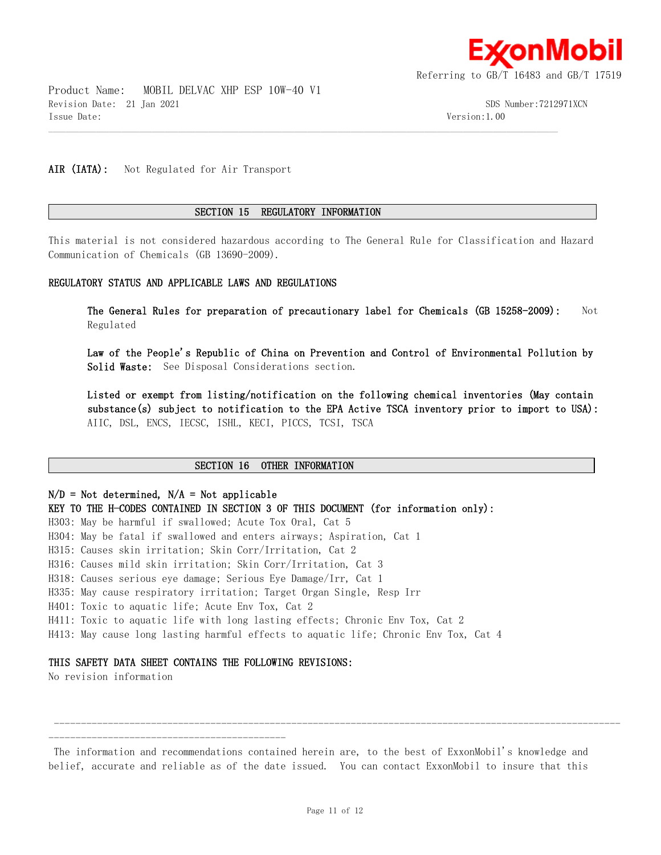

Product Name: MOBIL DELVAC XHP ESP 10W-40 V1 Revision Date: 21 Jan 2021 SDS Number:7212971XCN Issue Date: Version:1.00

AIR (IATA): Not Regulated for Air Transport

#### **SECTION 15 REGULATORY INFORMATION**

 $\mathcal{L} = \{ \mathcal{L} = \{ \mathcal{L} = \{ \mathcal{L} = \{ \mathcal{L} = \{ \mathcal{L} = \{ \mathcal{L} = \{ \mathcal{L} = \{ \mathcal{L} = \{ \mathcal{L} = \{ \mathcal{L} = \{ \mathcal{L} = \{ \mathcal{L} = \{ \mathcal{L} = \{ \mathcal{L} = \{ \mathcal{L} = \{ \mathcal{L} = \{ \mathcal{L} = \{ \mathcal{L} = \{ \mathcal{L} = \{ \mathcal{L} = \{ \mathcal{L} = \{ \mathcal{L} = \{ \mathcal{L} = \{ \mathcal{$ 

This material is not considered hazardous according to The General Rule for Classification and Hazard Communication of Chemicals (GB 13690-2009).

#### **REGULATORY STATUS AND APPLICABLE LAWS AND REGULATIONS**

**The General Rules for preparation of precautionary label for Chemicals (GB 15258-2009):** Not Regulated

**Law of the People's Republic of China on Prevention and Control of Environmental Pollution by Solid Waste:** See Disposal Considerations section.

**Listed or exempt from listing/notification on the following chemical inventories (May contain substance(s) subject to notification to the EPA Active TSCA inventory prior to import to USA):**  AIIC, DSL, ENCS, IECSC, ISHL, KECI, PICCS, TCSI, TSCA

#### **SECTION 16 OTHER INFORMATION**

**N/D = Not determined, N/A = Not applicable KEY TO THE H-CODES CONTAINED IN SECTION 3 OF THIS DOCUMENT (for information only):** H303: May be harmful if swallowed; Acute Tox Oral, Cat 5 H304: May be fatal if swallowed and enters airways; Aspiration, Cat 1 H315: Causes skin irritation; Skin Corr/Irritation, Cat 2 H316: Causes mild skin irritation; Skin Corr/Irritation, Cat 3 H318: Causes serious eye damage; Serious Eye Damage/Irr, Cat 1 H335: May cause respiratory irritation; Target Organ Single, Resp Irr H401: Toxic to aquatic life; Acute Env Tox, Cat 2 H411: Toxic to aquatic life with long lasting effects; Chronic Env Tox, Cat 2 H413: May cause long lasting harmful effects to aquatic life; Chronic Env Tox, Cat 4

#### **THIS SAFETY DATA SHEET CONTAINS THE FOLLOWING REVISIONS:**

No revision information

-------------------------------------------- The information and recommendations contained herein are, to the best of ExxonMobil's knowledge and belief, accurate and reliable as of the date issued. You can contact ExxonMobil to insure that this

---------------------------------------------------------------------------------------------------------